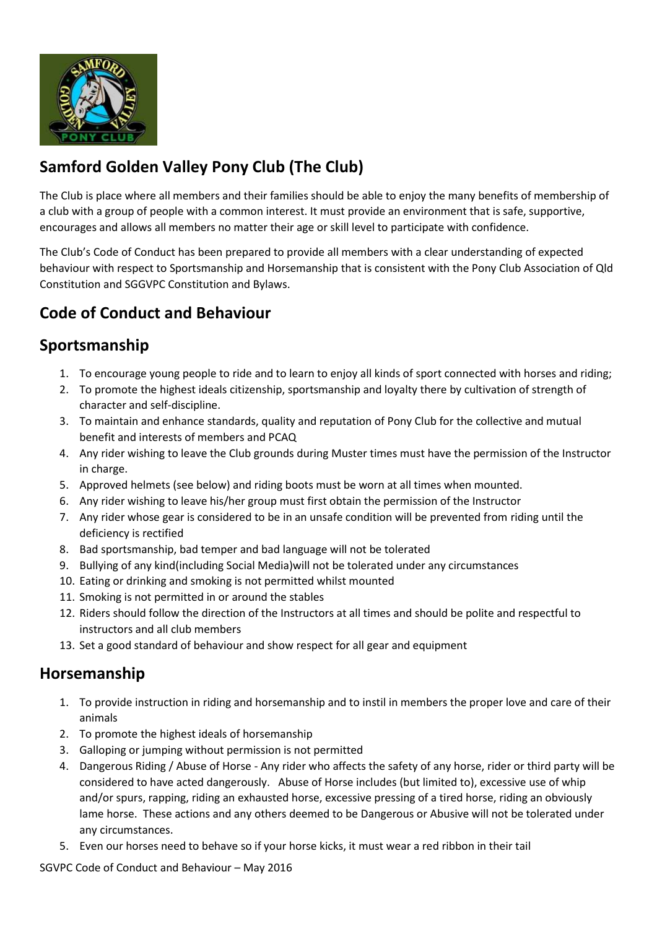

# **Samford Golden Valley Pony Club (The Club)**

The Club is place where all members and their families should be able to enjoy the many benefits of membership of a club with a group of people with a common interest. It must provide an environment that is safe, supportive, encourages and allows all members no matter their age or skill level to participate with confidence.

The Club's Code of Conduct has been prepared to provide all members with a clear understanding of expected behaviour with respect to Sportsmanship and Horsemanship that is consistent with the Pony Club Association of Qld Constitution and SGGVPC Constitution and Bylaws.

## **Code of Conduct and Behaviour**

## **Sportsmanship**

- 1. To encourage young people to ride and to learn to enjoy all kinds of sport connected with horses and riding;
- 2. To promote the highest ideals citizenship, sportsmanship and loyalty there by cultivation of strength of character and self-discipline.
- 3. To maintain and enhance standards, quality and reputation of Pony Club for the collective and mutual benefit and interests of members and PCAQ
- 4. Any rider wishing to leave the Club grounds during Muster times must have the permission of the Instructor in charge.
- 5. Approved helmets (see below) and riding boots must be worn at all times when mounted.
- 6. Any rider wishing to leave his/her group must first obtain the permission of the Instructor
- 7. Any rider whose gear is considered to be in an unsafe condition will be prevented from riding until the deficiency is rectified
- 8. Bad sportsmanship, bad temper and bad language will not be tolerated
- 9. Bullying of any kind(including Social Media)will not be tolerated under any circumstances
- 10. Eating or drinking and smoking is not permitted whilst mounted
- 11. Smoking is not permitted in or around the stables
- 12. Riders should follow the direction of the Instructors at all times and should be polite and respectful to instructors and all club members
- 13. Set a good standard of behaviour and show respect for all gear and equipment

#### **Horsemanship**

- 1. To provide instruction in riding and horsemanship and to instil in members the proper love and care of their animals
- 2. To promote the highest ideals of horsemanship
- 3. Galloping or jumping without permission is not permitted
- 4. Dangerous Riding / Abuse of Horse Any rider who affects the safety of any horse, rider or third party will be considered to have acted dangerously. Abuse of Horse includes (but limited to), excessive use of whip and/or spurs, rapping, riding an exhausted horse, excessive pressing of a tired horse, riding an obviously lame horse. These actions and any others deemed to be Dangerous or Abusive will not be tolerated under any circumstances.
- 5. Even our horses need to behave so if your horse kicks, it must wear a red ribbon in their tail

SGVPC Code of Conduct and Behaviour – May 2016